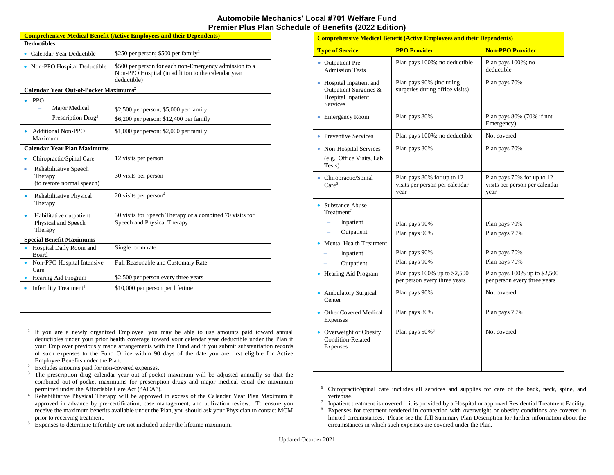## **Automobile Mechanics' Local #701 Welfare Fund Premier Plus Plan Schedule of Benefits (2022 Edition)**

| <b>Comprehensive Medical Benefit (Active Employees and their Dependents)</b> |                                                                                                                             |  |  |  |
|------------------------------------------------------------------------------|-----------------------------------------------------------------------------------------------------------------------------|--|--|--|
| <b>Deductibles</b>                                                           |                                                                                                                             |  |  |  |
| • Calendar Year Deductible                                                   | \$250 per person; \$500 per family <sup>1</sup>                                                                             |  |  |  |
| • Non-PPO Hospital Deductible                                                | \$500 per person for each non-Emergency admission to a<br>Non-PPO Hospital (in addition to the calendar year<br>deductible) |  |  |  |
| Calendar Year Out-of-Pocket Maximums <sup>2</sup>                            |                                                                                                                             |  |  |  |
| <b>PPO</b><br>Major Medical<br>Prescription Drug <sup>3</sup>                | \$2,500 per person; \$5,000 per family<br>\$6,200 per person; \$12,400 per family                                           |  |  |  |
| Additional Non-PPO<br>$\bullet$<br>Maximum                                   | $$1,000$ per person; $$2,000$ per family                                                                                    |  |  |  |
| <b>Calendar Year Plan Maximums</b>                                           |                                                                                                                             |  |  |  |
| Chiropractic/Spinal Care<br>۰                                                | 12 visits per person                                                                                                        |  |  |  |
| Rehabilitative Speech<br>٠<br>Therapy<br>(to restore normal speech)          | 30 visits per person                                                                                                        |  |  |  |
| Rehabilitative Physical<br>۰<br>Therapy                                      | 20 visits per person $4$                                                                                                    |  |  |  |
| Habilitative outpatient<br>$\bullet$<br>Physical and Speech<br>Therapy       | 30 visits for Speech Therapy or a combined 70 visits for<br>Speech and Physical Therapy                                     |  |  |  |
| <b>Special Benefit Maximums</b>                                              |                                                                                                                             |  |  |  |
| Hospital Daily Room and<br>$\bullet$<br>Board                                | Single room rate                                                                                                            |  |  |  |
| Non-PPO Hospital Intensive<br>Care                                           | Full Reasonable and Customary Rate                                                                                          |  |  |  |
| Hearing Aid Program<br>۰                                                     | \$2,500 per person every three years                                                                                        |  |  |  |
| Infertility Treatment <sup>5</sup><br>٠                                      | \$10,000 per person per lifetime                                                                                            |  |  |  |

<sup>&</sup>lt;sup>1</sup> If you are a newly organized Employee, you may be able to use amounts paid toward annual deductibles under your prior health coverage toward your calendar year deductible under the Plan if your Employer previously made arrangements with the Fund and if you submit substantiation records of such expenses to the Fund Office within 90 days of the date you are first eligible for Active Employee Benefits under the Plan.

- <sup>2</sup> Excludes amounts paid for non-covered expenses.
- <sup>3</sup> The prescription drug calendar year out-of-pocket maximum will be adjusted annually so that the combined out-of-pocket maximums for prescription drugs and major medical equal the maximum permitted under the Affordable Care Act ("ACA").
- <sup>4</sup> Rehabilitative Physical Therapy will be approved in excess of the Calendar Year Plan Maximum if approved in advance by pre-certification, case management, and utilization review. To ensure you receive the maximum benefits available under the Plan, you should ask your Physician to contact MCM prior to receiving treatment.

| <b>Comprehensive Medical Benefit (Active Employees and their Dependents)</b>              |                                                                      |                                                                      |  |  |
|-------------------------------------------------------------------------------------------|----------------------------------------------------------------------|----------------------------------------------------------------------|--|--|
| <b>Type of Service</b>                                                                    | <b>PPO Provider</b>                                                  | <b>Non-PPO Provider</b>                                              |  |  |
| • Outpatient Pre-<br><b>Admission Tests</b>                                               | Plan pays 100%; no deductible                                        | Plan pays 100%; no<br>deductible                                     |  |  |
| Hospital Inpatient and<br>Outpatient Surgeries &<br>Hospital Inpatient<br><b>Services</b> | Plan pays 90% (including<br>surgeries during office visits)          | Plan pays 70%                                                        |  |  |
| <b>Emergency Room</b>                                                                     | Plan pays 80%                                                        | Plan pays 80% (70% if not<br>Emergency)                              |  |  |
| • Preventive Services                                                                     | Plan pays 100%; no deductible                                        | Not covered                                                          |  |  |
| Non-Hospital Services<br>(e.g., Office Visits, Lab<br>Tests)                              | Plan pays 80%                                                        | Plan pays 70%                                                        |  |  |
| Chiropractic/Spinal<br>Care <sup>6</sup>                                                  | Plan pays 80% for up to 12<br>visits per person per calendar<br>year | Plan pays 70% for up to 12<br>visits per person per calendar<br>year |  |  |
| <b>Substance Abuse</b><br>Treatment <sup>7</sup>                                          |                                                                      |                                                                      |  |  |
| Inpatient                                                                                 | Plan pays 90%                                                        | Plan pays 70%                                                        |  |  |
| Outpatient                                                                                | Plan pays 90%                                                        | Plan pays 70%                                                        |  |  |
| <b>Mental Health Treatment</b><br>Inpatient<br>Outpatient                                 | Plan pays 90%<br>Plan pays 90%                                       | Plan pays 70%<br>Plan pays 70%                                       |  |  |
| Hearing Aid Program                                                                       | Plan pays 100% up to \$2,500<br>per person every three years         | Plan pays 100% up to \$2,500<br>per person every three years         |  |  |
| <b>Ambulatory Surgical</b><br>Center                                                      | Plan pays 90%                                                        | Not covered                                                          |  |  |
| Other Covered Medical<br>Expenses                                                         | Plan pays 80%                                                        | Plan pays 70%                                                        |  |  |
| Overweight or Obesity<br>Condition-Related<br>Expenses                                    | Plan pays 50% <sup>8</sup>                                           | Not covered                                                          |  |  |

<sup>6</sup> Chiropractic/spinal care includes all services and supplies for care of the back, neck, spine, and vertebrae.

<sup>5</sup> Expenses to determine Infertility are not included under the lifetime maximum.

<sup>7</sup> Inpatient treatment is covered if it is provided by a Hospital or approved Residential Treatment Facility.

<sup>&</sup>lt;sup>8</sup> Expenses for treatment rendered in connection with overweight or obesity conditions are covered in limited circumstances. Please see the full Summary Plan Description for further information about the circumstances in which such expenses are covered under the Plan.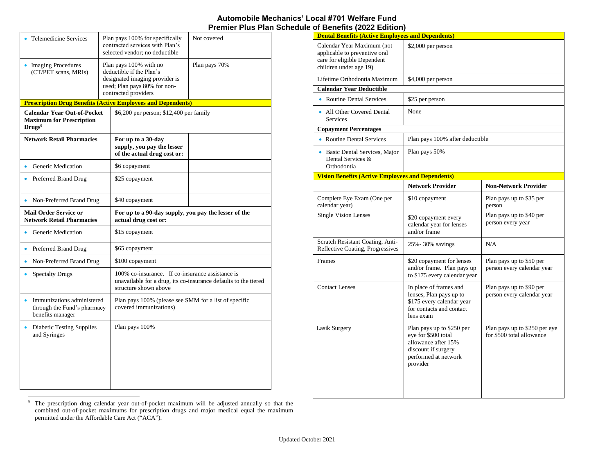## **Automobile Mechanics' Local #701 Welfare Fund Premier Plus Plan Schedule of Benefits (2022 Edition)**

| <b>Telemedicine Services</b>                                                                | Plan pays 100% for specifically<br>contracted services with Plan's<br>selected vendor: no deductible                                         |                                                                                 | Not covered                                                     |  |  |
|---------------------------------------------------------------------------------------------|----------------------------------------------------------------------------------------------------------------------------------------------|---------------------------------------------------------------------------------|-----------------------------------------------------------------|--|--|
| • Imaging Procedures<br>(CT/PET scans, MRIs)                                                | Plan pays 100% with no<br>deductible if the Plan's<br>designated imaging provider is<br>used; Plan pays 80% for non-<br>contracted providers |                                                                                 | Plan pays 70%                                                   |  |  |
| <b>Prescription Drug Benefits (Active Employees and Dependents)</b>                         |                                                                                                                                              |                                                                                 |                                                                 |  |  |
| <b>Calendar Year Out-of-Pocket</b><br><b>Maximum for Prescription</b><br>Drugs <sup>9</sup> |                                                                                                                                              | \$6,200 per person; \$12,400 per family                                         |                                                                 |  |  |
| <b>Network Retail Pharmacies</b>                                                            |                                                                                                                                              | For up to a 30-day<br>supply, you pay the lesser<br>of the actual drug cost or: |                                                                 |  |  |
| Generic Medication                                                                          |                                                                                                                                              | \$6 copayment                                                                   |                                                                 |  |  |
| Preferred Brand Drug                                                                        |                                                                                                                                              | \$25 copayment                                                                  |                                                                 |  |  |
| • Non-Preferred Brand Drug                                                                  |                                                                                                                                              | \$40 copayment                                                                  |                                                                 |  |  |
| <b>Mail Order Service or</b><br><b>Network Retail Pharmacies</b>                            |                                                                                                                                              | For up to a 90-day supply, you pay the lesser of the<br>actual drug cost or:    |                                                                 |  |  |
| Generic Medication                                                                          |                                                                                                                                              | \$15 copayment                                                                  |                                                                 |  |  |
| Preferred Brand Drug<br>٠                                                                   |                                                                                                                                              | \$65 copayment                                                                  |                                                                 |  |  |
| Non-Preferred Brand Drug<br>$\bullet$                                                       |                                                                                                                                              | \$100 copayment                                                                 |                                                                 |  |  |
| <b>Specialty Drugs</b>                                                                      |                                                                                                                                              | 100% co-insurance. If co-insurance assistance is<br>structure shown above       | unavailable for a drug, its co-insurance defaults to the tiered |  |  |
| Immunizations administered<br>through the Fund's pharmacy<br>benefits manager               |                                                                                                                                              | Plan pays 100% (please see SMM for a list of specific<br>covered immunizations) |                                                                 |  |  |
| <b>Diabetic Testing Supplies</b><br>and Syringes                                            |                                                                                                                                              | Plan pays 100%                                                                  |                                                                 |  |  |

| <b>Dental Benefits (Active Employees and Dependents)</b>                                                             |                                                                                                                                    |                                                            |  |
|----------------------------------------------------------------------------------------------------------------------|------------------------------------------------------------------------------------------------------------------------------------|------------------------------------------------------------|--|
| Calendar Year Maximum (not<br>applicable to preventive oral<br>care for eligible Dependent<br>children under age 19) | \$2,000 per person                                                                                                                 |                                                            |  |
| Lifetime Orthodontia Maximum                                                                                         | \$4,000 per person                                                                                                                 |                                                            |  |
| <b>Calendar Year Deductible</b>                                                                                      |                                                                                                                                    |                                                            |  |
| • Routine Dental Services                                                                                            | \$25 per person                                                                                                                    |                                                            |  |
| • All Other Covered Dental<br><b>Services</b>                                                                        | None                                                                                                                               |                                                            |  |
| <b>Copayment Percentages</b>                                                                                         |                                                                                                                                    |                                                            |  |
| • Routine Dental Services                                                                                            | Plan pays 100% after deductible                                                                                                    |                                                            |  |
| • Basic Dental Services, Major<br>Dental Services &<br>Orthodontia                                                   | Plan pays 50%                                                                                                                      |                                                            |  |
| <b>Vision Benefits (Active Employees and Dependents)</b>                                                             |                                                                                                                                    |                                                            |  |
|                                                                                                                      | <b>Network Provider</b>                                                                                                            | <b>Non-Network Provider</b>                                |  |
| Complete Eye Exam (One per<br>calendar year)                                                                         | \$10 copayment                                                                                                                     | Plan pays up to \$35 per<br>person                         |  |
| <b>Single Vision Lenses</b>                                                                                          | \$20 copayment every<br>calendar year for lenses<br>and/or frame                                                                   | Plan pays up to \$40 per<br>person every year              |  |
| Scratch Resistant Coating, Anti-<br>Reflective Coating, Progressives                                                 | 25% - 30% savings                                                                                                                  | N/A                                                        |  |
| Frames                                                                                                               | \$20 copayment for lenses<br>and/or frame. Plan pays up<br>to \$175 every calendar year                                            | Plan pays up to \$50 per<br>person every calendar year     |  |
| <b>Contact Lenses</b>                                                                                                | In place of frames and<br>lenses, Plan pays up to<br>\$175 every calendar year<br>for contacts and contact<br>lens exam            | Plan pays up to \$90 per<br>person every calendar year     |  |
| Lasik Surgery                                                                                                        | Plan pays up to \$250 per<br>eye for \$500 total<br>allowance after 15%<br>discount if surgery<br>performed at network<br>provider | Plan pays up to \$250 per eye<br>for \$500 total allowance |  |

<sup>9</sup> The prescription drug calendar year out-of-pocket maximum will be adjusted annually so that the combined out-of-pocket maximums for prescription drugs and major medical equal the maximum permitted under the Affordable Care Act ("ACA").